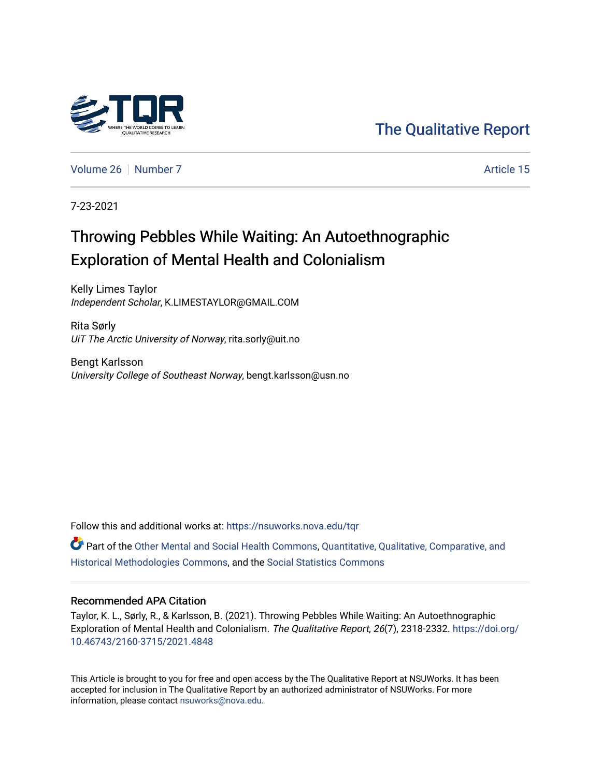

[The Qualitative Report](https://nsuworks.nova.edu/tqr) 

[Volume 26](https://nsuworks.nova.edu/tqr/vol26) [Number 7](https://nsuworks.nova.edu/tqr/vol26/iss7) Article 15

7-23-2021

## Throwing Pebbles While Waiting: An Autoethnographic Exploration of Mental Health and Colonialism

Kelly Limes Taylor Independent Scholar, K.LIMESTAYLOR@GMAIL.COM

Rita Sørly UiT The Arctic University of Norway, rita.sorly@uit.no

Bengt Karlsson University College of Southeast Norway, bengt.karlsson@usn.no

Follow this and additional works at: [https://nsuworks.nova.edu/tqr](https://nsuworks.nova.edu/tqr?utm_source=nsuworks.nova.edu%2Ftqr%2Fvol26%2Fiss7%2F15&utm_medium=PDF&utm_campaign=PDFCoverPages) 

Part of the [Other Mental and Social Health Commons,](http://network.bepress.com/hgg/discipline/717?utm_source=nsuworks.nova.edu%2Ftqr%2Fvol26%2Fiss7%2F15&utm_medium=PDF&utm_campaign=PDFCoverPages) Quantitative, Qualitative, Comparative, and [Historical Methodologies Commons](http://network.bepress.com/hgg/discipline/423?utm_source=nsuworks.nova.edu%2Ftqr%2Fvol26%2Fiss7%2F15&utm_medium=PDF&utm_campaign=PDFCoverPages), and the [Social Statistics Commons](http://network.bepress.com/hgg/discipline/1275?utm_source=nsuworks.nova.edu%2Ftqr%2Fvol26%2Fiss7%2F15&utm_medium=PDF&utm_campaign=PDFCoverPages) 

## Recommended APA Citation

Taylor, K. L., Sørly, R., & Karlsson, B. (2021). Throwing Pebbles While Waiting: An Autoethnographic Exploration of Mental Health and Colonialism. The Qualitative Report, 26(7), 2318-2332. [https://doi.org/](https://doi.org/10.46743/2160-3715/2021.4848) [10.46743/2160-3715/2021.4848](https://doi.org/10.46743/2160-3715/2021.4848)

This Article is brought to you for free and open access by the The Qualitative Report at NSUWorks. It has been accepted for inclusion in The Qualitative Report by an authorized administrator of NSUWorks. For more information, please contact [nsuworks@nova.edu.](mailto:nsuworks@nova.edu)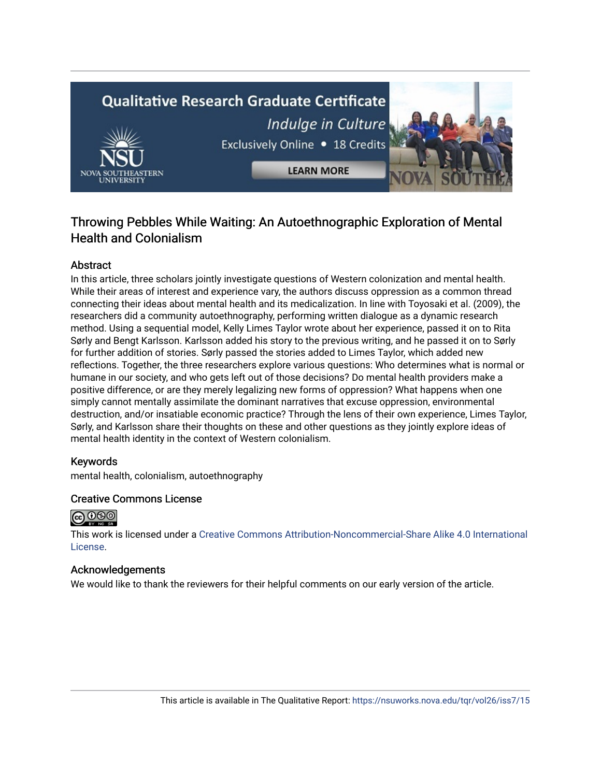# **Qualitative Research Graduate Certificate** Indulge in Culture Exclusively Online . 18 Credits **LEARN MORE**



## **Abstract**

In this article, three scholars jointly investigate questions of Western colonization and mental health. While their areas of interest and experience vary, the authors discuss oppression as a common thread connecting their ideas about mental health and its medicalization. In line with Toyosaki et al. (2009), the researchers did a community autoethnography, performing written dialogue as a dynamic research method. Using a sequential model, Kelly Limes Taylor wrote about her experience, passed it on to Rita Sørly and Bengt Karlsson. Karlsson added his story to the previous writing, and he passed it on to Sørly for further addition of stories. Sørly passed the stories added to Limes Taylor, which added new reflections. Together, the three researchers explore various questions: Who determines what is normal or humane in our society, and who gets left out of those decisions? Do mental health providers make a positive difference, or are they merely legalizing new forms of oppression? What happens when one simply cannot mentally assimilate the dominant narratives that excuse oppression, environmental destruction, and/or insatiable economic practice? Through the lens of their own experience, Limes Taylor, Sørly, and Karlsson share their thoughts on these and other questions as they jointly explore ideas of mental health identity in the context of Western colonialism.

## Keywords

mental health, colonialism, autoethnography

## Creative Commons License



This work is licensed under a [Creative Commons Attribution-Noncommercial-Share Alike 4.0 International](https://creativecommons.org/licenses/by-nc-sa/4.0/)  [License](https://creativecommons.org/licenses/by-nc-sa/4.0/).

## Acknowledgements

We would like to thank the reviewers for their helpful comments on our early version of the article.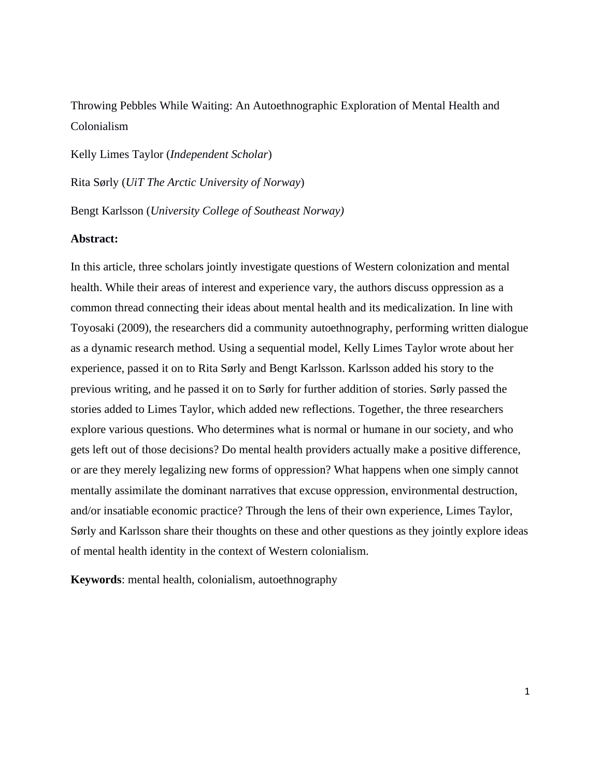Throwing Pebbles While Waiting: An Autoethnographic Exploration of Mental Health and Colonialism

Kelly Limes Taylor (*Independent Scholar*) Rita Sørly (*UiT The Arctic University of Norway*)

Bengt Karlsson (*University College of Southeast Norway)*

## **Abstract:**

In this article, three scholars jointly investigate questions of Western colonization and mental health. While their areas of interest and experience vary, the authors discuss oppression as a common thread connecting their ideas about mental health and its medicalization. In line with Toyosaki (2009), the researchers did a community autoethnography, performing written dialogue as a dynamic research method. Using a sequential model, Kelly Limes Taylor wrote about her experience, passed it on to Rita Sørly and Bengt Karlsson. Karlsson added his story to the previous writing, and he passed it on to Sørly for further addition of stories. Sørly passed the stories added to Limes Taylor, which added new reflections. Together, the three researchers explore various questions. Who determines what is normal or humane in our society, and who gets left out of those decisions? Do mental health providers actually make a positive difference, or are they merely legalizing new forms of oppression? What happens when one simply cannot mentally assimilate the dominant narratives that excuse oppression, environmental destruction, and/or insatiable economic practice? Through the lens of their own experience, Limes Taylor, Sørly and Karlsson share their thoughts on these and other questions as they jointly explore ideas of mental health identity in the context of Western colonialism.

**Keywords**: mental health, colonialism, autoethnography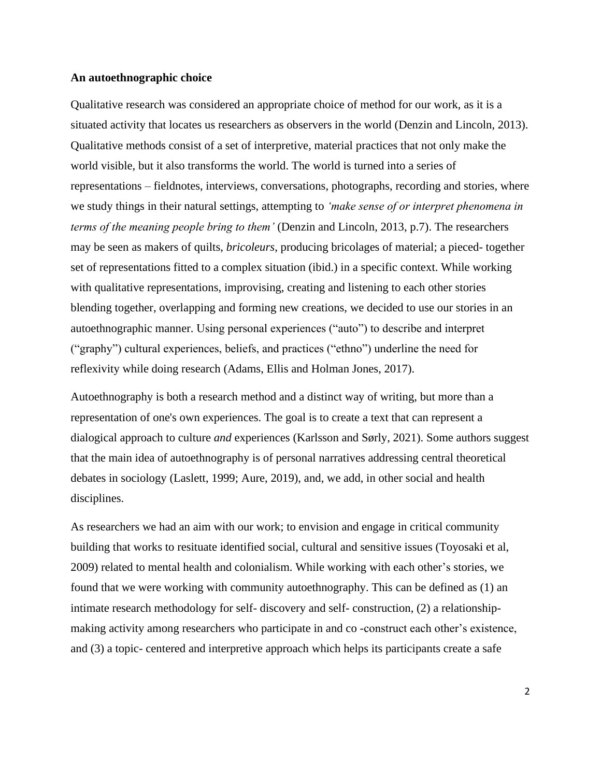## **An autoethnographic choice**

Qualitative research was considered an appropriate choice of method for our work, as it is a situated activity that locates us researchers as observers in the world (Denzin and Lincoln, 2013). Qualitative methods consist of a set of interpretive, material practices that not only make the world visible, but it also transforms the world. The world is turned into a series of representations – fieldnotes, interviews, conversations, photographs, recording and stories, where we study things in their natural settings, attempting to *'make sense of or interpret phenomena in terms of the meaning people bring to them'* (Denzin and Lincoln, 2013, p.7). The researchers may be seen as makers of quilts, *bricoleurs*, producing bricolages of material; a pieced- together set of representations fitted to a complex situation (ibid.) in a specific context. While working with qualitative representations, improvising, creating and listening to each other stories blending together, overlapping and forming new creations, we decided to use our stories in an autoethnographic manner. Using personal experiences ("auto") to describe and interpret ("graphy") cultural experiences, beliefs, and practices ("ethno") underline the need for reflexivity while doing research (Adams, Ellis and Holman Jones, 2017).

Autoethnography is both a research method and a distinct way of writing, but more than a representation of one's own experiences. The goal is to create a text that can represent a dialogical approach to culture *and* experiences (Karlsson and Sørly, 2021). Some authors suggest that the main idea of autoethnography is of personal narratives addressing central theoretical debates in sociology (Laslett, 1999; Aure, 2019), and, we add, in other social and health disciplines.

As researchers we had an aim with our work; to envision and engage in critical community building that works to resituate identified social, cultural and sensitive issues (Toyosaki et al, 2009) related to mental health and colonialism. While working with each other's stories, we found that we were working with community autoethnography. This can be defined as (1) an intimate research methodology for self- discovery and self- construction, (2) a relationshipmaking activity among researchers who participate in and co -construct each other's existence, and (3) a topic- centered and interpretive approach which helps its participants create a safe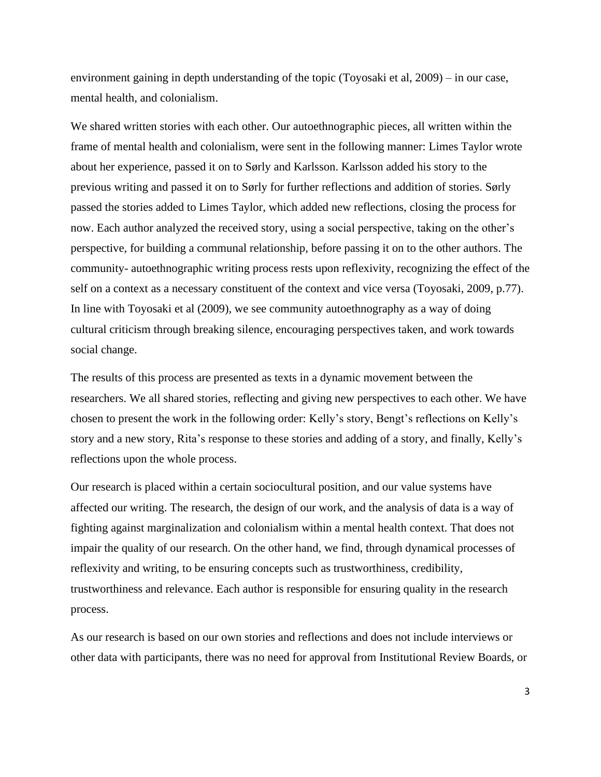environment gaining in depth understanding of the topic (Toyosaki et al, 2009) – in our case, mental health, and colonialism.

We shared written stories with each other. Our autoethnographic pieces, all written within the frame of mental health and colonialism, were sent in the following manner: Limes Taylor wrote about her experience, passed it on to Sørly and Karlsson. Karlsson added his story to the previous writing and passed it on to Sørly for further reflections and addition of stories. Sørly passed the stories added to Limes Taylor, which added new reflections, closing the process for now. Each author analyzed the received story, using a social perspective, taking on the other's perspective, for building a communal relationship, before passing it on to the other authors. The community- autoethnographic writing process rests upon reflexivity, recognizing the effect of the self on a context as a necessary constituent of the context and vice versa (Toyosaki, 2009, p.77). In line with Toyosaki et al (2009), we see community autoethnography as a way of doing cultural criticism through breaking silence, encouraging perspectives taken, and work towards social change.

The results of this process are presented as texts in a dynamic movement between the researchers. We all shared stories, reflecting and giving new perspectives to each other. We have chosen to present the work in the following order: Kelly's story, Bengt's reflections on Kelly's story and a new story, Rita's response to these stories and adding of a story, and finally, Kelly's reflections upon the whole process.

Our research is placed within a certain sociocultural position, and our value systems have affected our writing. The research, the design of our work, and the analysis of data is a way of fighting against marginalization and colonialism within a mental health context. That does not impair the quality of our research. On the other hand, we find, through dynamical processes of reflexivity and writing, to be ensuring concepts such as trustworthiness, credibility, trustworthiness and relevance. Each author is responsible for ensuring quality in the research process.

As our research is based on our own stories and reflections and does not include interviews or other data with participants, there was no need for approval from Institutional Review Boards, or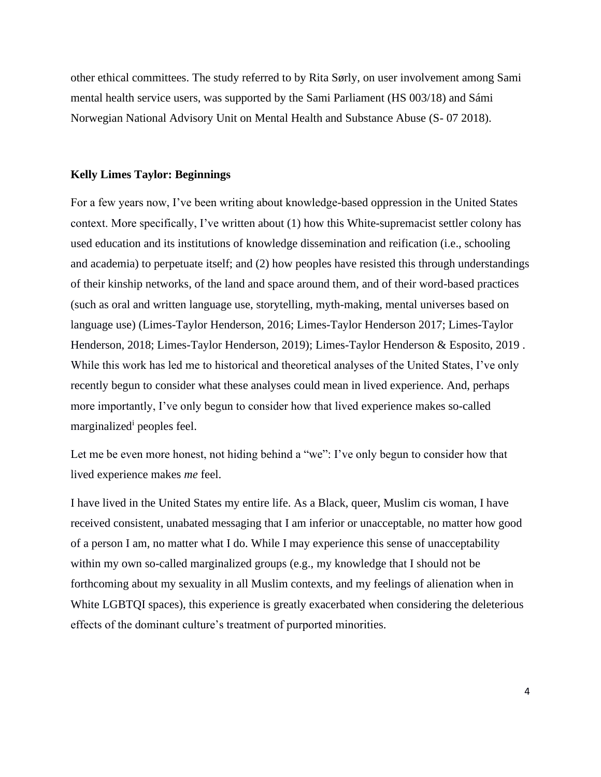other ethical committees. The study referred to by Rita Sørly, on user involvement among Sami mental health service users, was supported by the Sami Parliament (HS 003/18) and Sámi Norwegian National Advisory Unit on Mental Health and Substance Abuse (S- 07 2018).

## **Kelly Limes Taylor: Beginnings**

For a few years now, I've been writing about knowledge-based oppression in the United States context. More specifically, I've written about (1) how this White-supremacist settler colony has used education and its institutions of knowledge dissemination and reification (i.e., schooling and academia) to perpetuate itself; and (2) how peoples have resisted this through understandings of their kinship networks, of the land and space around them, and of their word-based practices (such as oral and written language use, storytelling, myth-making, mental universes based on language use) (Limes-Taylor Henderson, 2016; Limes-Taylor Henderson 2017; Limes-Taylor Henderson, 2018; Limes-Taylor Henderson, 2019); Limes-Taylor Henderson & Esposito, 2019 . While this work has led me to historical and theoretical analyses of the United States, I've only recently begun to consider what these analyses could mean in lived experience. And, perhaps more importantly, I've only begun to consider how that lived experience makes so-called marginalized<sup>i</sup> peoples feel.

Let me be even more honest, not hiding behind a "we": I've only begun to consider how that lived experience makes *me* feel.

I have lived in the United States my entire life. As a Black, queer, Muslim cis woman, I have received consistent, unabated messaging that I am inferior or unacceptable, no matter how good of a person I am, no matter what I do. While I may experience this sense of unacceptability within my own so-called marginalized groups (e.g., my knowledge that I should not be forthcoming about my sexuality in all Muslim contexts, and my feelings of alienation when in White LGBTQI spaces), this experience is greatly exacerbated when considering the deleterious effects of the dominant culture's treatment of purported minorities.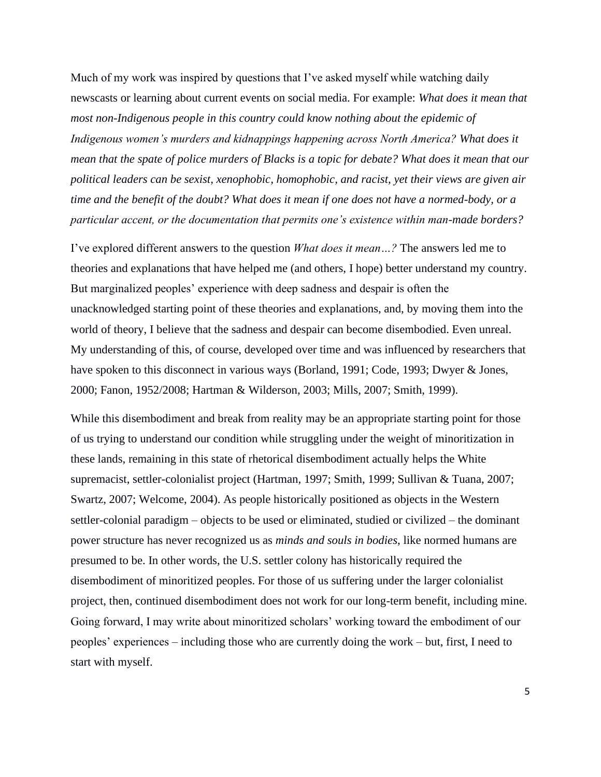Much of my work was inspired by questions that I've asked myself while watching daily newscasts or learning about current events on social media. For example: *What does it mean that most non-Indigenous people in this country could know nothing about the epidemic of Indigenous women's murders and kidnappings happening across North America? What does it mean that the spate of police murders of Blacks is a topic for debate? What does it mean that our political leaders can be sexist, xenophobic, homophobic, and racist, yet their views are given air time and the benefit of the doubt? What does it mean if one does not have a normed-body, or a particular accent, or the documentation that permits one's existence within man-made borders?* 

I've explored different answers to the question *What does it mean…?* The answers led me to theories and explanations that have helped me (and others, I hope) better understand my country. But marginalized peoples' experience with deep sadness and despair is often the unacknowledged starting point of these theories and explanations, and, by moving them into the world of theory, I believe that the sadness and despair can become disembodied. Even unreal. My understanding of this, of course, developed over time and was influenced by researchers that have spoken to this disconnect in various ways (Borland, 1991; Code, 1993; Dwyer & Jones, 2000; Fanon, 1952/2008; Hartman & Wilderson, 2003; Mills, 2007; Smith, 1999).

While this disembodiment and break from reality may be an appropriate starting point for those of us trying to understand our condition while struggling under the weight of minoritization in these lands, remaining in this state of rhetorical disembodiment actually helps the White supremacist, settler-colonialist project (Hartman, 1997; Smith, 1999; Sullivan & Tuana, 2007; Swartz, 2007; Welcome, 2004). As people historically positioned as objects in the Western settler-colonial paradigm – objects to be used or eliminated, studied or civilized – the dominant power structure has never recognized us as *minds and souls in bodies*, like normed humans are presumed to be. In other words, the U.S. settler colony has historically required the disembodiment of minoritized peoples. For those of us suffering under the larger colonialist project, then, continued disembodiment does not work for our long-term benefit, including mine. Going forward, I may write about minoritized scholars' working toward the embodiment of our peoples' experiences – including those who are currently doing the work – but, first, I need to start with myself.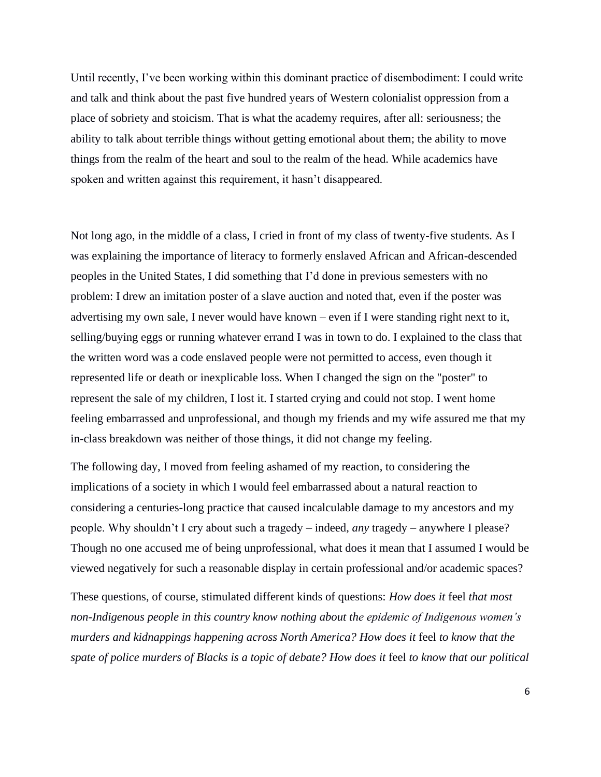Until recently, I've been working within this dominant practice of disembodiment: I could write and talk and think about the past five hundred years of Western colonialist oppression from a place of sobriety and stoicism. That is what the academy requires, after all: seriousness; the ability to talk about terrible things without getting emotional about them; the ability to move things from the realm of the heart and soul to the realm of the head. While academics have spoken and written against this requirement, it hasn't disappeared.

Not long ago, in the middle of a class, I cried in front of my class of twenty-five students. As I was explaining the importance of literacy to formerly enslaved African and African-descended peoples in the United States, I did something that I'd done in previous semesters with no problem: I drew an imitation poster of a slave auction and noted that, even if the poster was advertising my own sale, I never would have known – even if I were standing right next to it, selling/buying eggs or running whatever errand I was in town to do. I explained to the class that the written word was a code enslaved people were not permitted to access, even though it represented life or death or inexplicable loss. When I changed the sign on the "poster" to represent the sale of my children, I lost it. I started crying and could not stop. I went home feeling embarrassed and unprofessional, and though my friends and my wife assured me that my in-class breakdown was neither of those things, it did not change my feeling.

The following day, I moved from feeling ashamed of my reaction, to considering the implications of a society in which I would feel embarrassed about a natural reaction to considering a centuries-long practice that caused incalculable damage to my ancestors and my people. Why shouldn't I cry about such a tragedy – indeed, *any* tragedy – anywhere I please? Though no one accused me of being unprofessional, what does it mean that I assumed I would be viewed negatively for such a reasonable display in certain professional and/or academic spaces?

These questions, of course, stimulated different kinds of questions: *How does it* feel *that most non-Indigenous people in this country know nothing about the epidemic of Indigenous women's murders and kidnappings happening across North America? How does it* feel *to know that the spate of police murders of Blacks is a topic of debate? How does it* feel *to know that our political*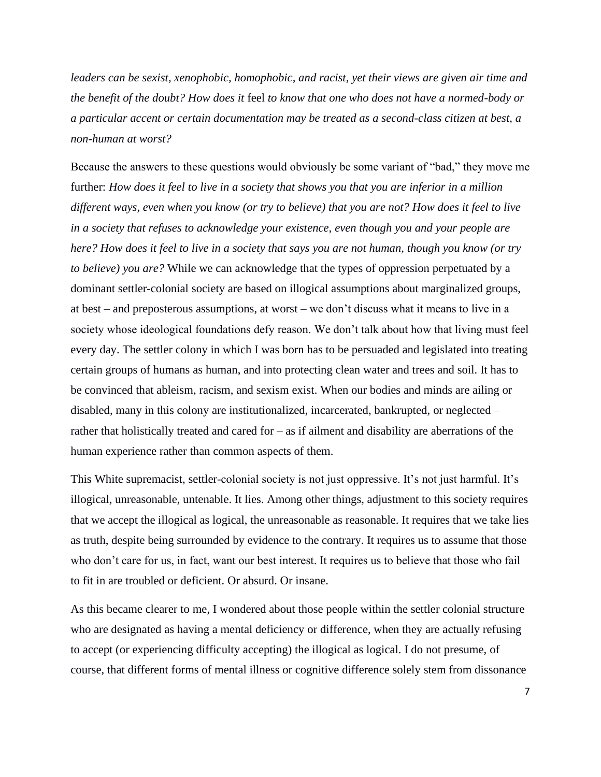*leaders can be sexist, xenophobic, homophobic, and racist, yet their views are given air time and the benefit of the doubt? How does it* feel *to know that one who does not have a normed-body or a particular accent or certain documentation may be treated as a second-class citizen at best, a non-human at worst?*

Because the answers to these questions would obviously be some variant of "bad," they move me further: *How does it feel to live in a society that shows you that you are inferior in a million different ways, even when you know (or try to believe) that you are not? How does it feel to live in a society that refuses to acknowledge your existence, even though you and your people are here? How does it feel to live in a society that says you are not human, though you know (or try to believe) you are?* While we can acknowledge that the types of oppression perpetuated by a dominant settler-colonial society are based on illogical assumptions about marginalized groups, at best – and preposterous assumptions, at worst – we don't discuss what it means to live in a society whose ideological foundations defy reason. We don't talk about how that living must feel every day. The settler colony in which I was born has to be persuaded and legislated into treating certain groups of humans as human, and into protecting clean water and trees and soil. It has to be convinced that ableism, racism, and sexism exist. When our bodies and minds are ailing or disabled, many in this colony are institutionalized, incarcerated, bankrupted, or neglected – rather that holistically treated and cared for – as if ailment and disability are aberrations of the human experience rather than common aspects of them.

This White supremacist, settler-colonial society is not just oppressive. It's not just harmful. It's illogical, unreasonable, untenable. It lies. Among other things, adjustment to this society requires that we accept the illogical as logical, the unreasonable as reasonable. It requires that we take lies as truth, despite being surrounded by evidence to the contrary. It requires us to assume that those who don't care for us, in fact, want our best interest. It requires us to believe that those who fail to fit in are troubled or deficient. Or absurd. Or insane.

As this became clearer to me, I wondered about those people within the settler colonial structure who are designated as having a mental deficiency or difference, when they are actually refusing to accept (or experiencing difficulty accepting) the illogical as logical. I do not presume, of course, that different forms of mental illness or cognitive difference solely stem from dissonance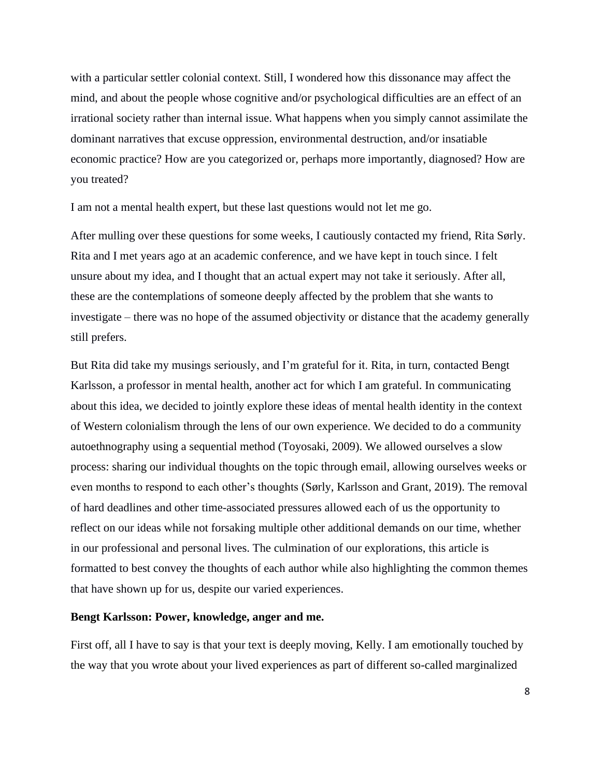with a particular settler colonial context. Still, I wondered how this dissonance may affect the mind, and about the people whose cognitive and/or psychological difficulties are an effect of an irrational society rather than internal issue. What happens when you simply cannot assimilate the dominant narratives that excuse oppression, environmental destruction, and/or insatiable economic practice? How are you categorized or, perhaps more importantly, diagnosed? How are you treated?

I am not a mental health expert, but these last questions would not let me go.

After mulling over these questions for some weeks, I cautiously contacted my friend, Rita Sørly. Rita and I met years ago at an academic conference, and we have kept in touch since. I felt unsure about my idea, and I thought that an actual expert may not take it seriously. After all, these are the contemplations of someone deeply affected by the problem that she wants to investigate – there was no hope of the assumed objectivity or distance that the academy generally still prefers.

But Rita did take my musings seriously, and I'm grateful for it. Rita, in turn, contacted Bengt Karlsson, a professor in mental health, another act for which I am grateful. In communicating about this idea, we decided to jointly explore these ideas of mental health identity in the context of Western colonialism through the lens of our own experience. We decided to do a community autoethnography using a sequential method (Toyosaki, 2009). We allowed ourselves a slow process: sharing our individual thoughts on the topic through email, allowing ourselves weeks or even months to respond to each other's thoughts (Sørly, Karlsson and Grant, 2019). The removal of hard deadlines and other time-associated pressures allowed each of us the opportunity to reflect on our ideas while not forsaking multiple other additional demands on our time, whether in our professional and personal lives. The culmination of our explorations, this article is formatted to best convey the thoughts of each author while also highlighting the common themes that have shown up for us, despite our varied experiences.

#### **Bengt Karlsson: Power, knowledge, anger and me.**

First off, all I have to say is that your text is deeply moving, Kelly. I am emotionally touched by the way that you wrote about your lived experiences as part of different so-called marginalized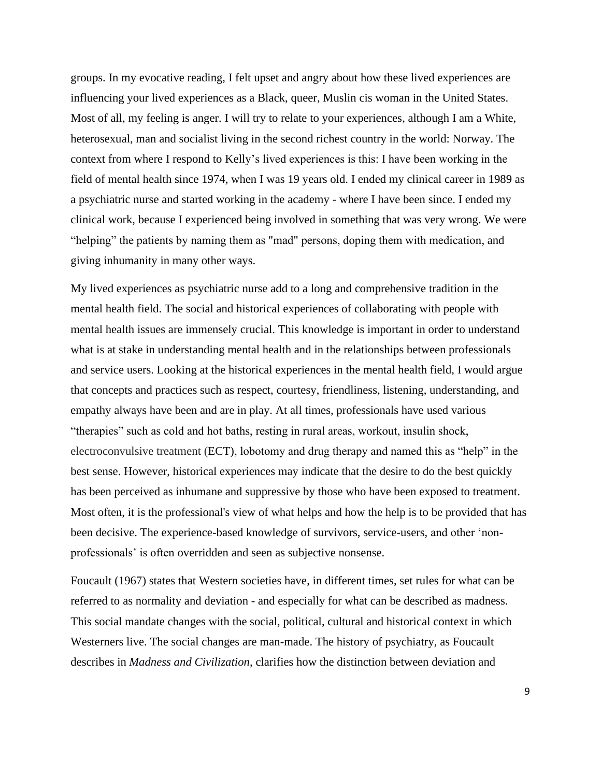groups. In my evocative reading, I felt upset and angry about how these lived experiences are influencing your lived experiences as a Black, queer, Muslin cis woman in the United States. Most of all, my feeling is anger. I will try to relate to your experiences, although I am a White, heterosexual, man and socialist living in the second richest country in the world: Norway. The context from where I respond to Kelly's lived experiences is this: I have been working in the field of mental health since 1974, when I was 19 years old. I ended my clinical career in 1989 as a psychiatric nurse and started working in the academy - where I have been since. I ended my clinical work, because I experienced being involved in something that was very wrong. We were "helping" the patients by naming them as "mad" persons, doping them with medication, and giving inhumanity in many other ways.

My lived experiences as psychiatric nurse add to a long and comprehensive tradition in the mental health field. The social and historical experiences of collaborating with people with mental health issues are immensely crucial. This knowledge is important in order to understand what is at stake in understanding mental health and in the relationships between professionals and service users. Looking at the historical experiences in the mental health field, I would argue that concepts and practices such as respect, courtesy, friendliness, listening, understanding, and empathy always have been and are in play. At all times, professionals have used various "therapies" such as cold and hot baths, resting in rural areas, workout, insulin shock, electroconvulsive treatment (ECT), lobotomy and drug therapy and named this as "help" in the best sense. However, historical experiences may indicate that the desire to do the best quickly has been perceived as inhumane and suppressive by those who have been exposed to treatment. Most often, it is the professional's view of what helps and how the help is to be provided that has been decisive. The experience-based knowledge of survivors, service-users, and other 'nonprofessionals' is often overridden and seen as subjective nonsense.

Foucault (1967) states that Western societies have, in different times, set rules for what can be referred to as normality and deviation - and especially for what can be described as madness. This social mandate changes with the social, political, cultural and historical context in which Westerners live. The social changes are man-made. The history of psychiatry, as Foucault describes in *Madness and Civilization*, clarifies how the distinction between deviation and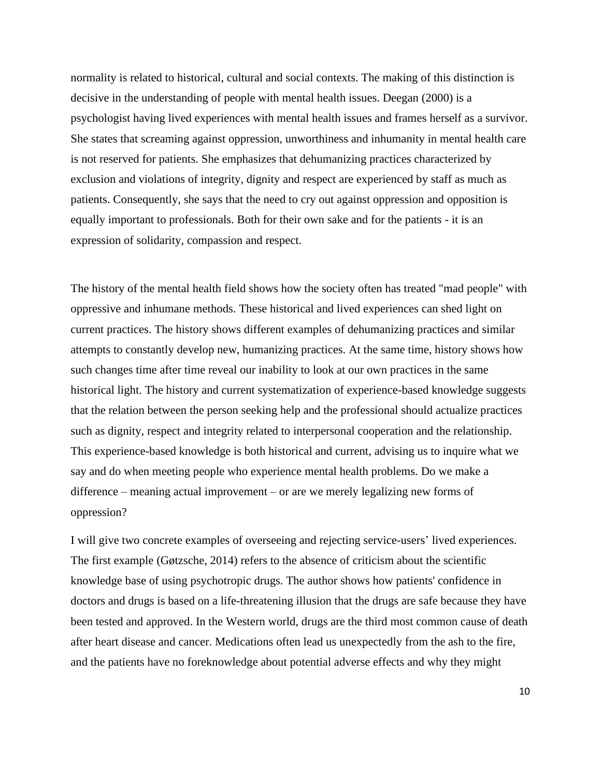normality is related to historical, cultural and social contexts. The making of this distinction is decisive in the understanding of people with mental health issues. Deegan (2000) is a psychologist having lived experiences with mental health issues and frames herself as a survivor. She states that screaming against oppression, unworthiness and inhumanity in mental health care is not reserved for patients. She emphasizes that dehumanizing practices characterized by exclusion and violations of integrity, dignity and respect are experienced by staff as much as patients. Consequently, she says that the need to cry out against oppression and opposition is equally important to professionals. Both for their own sake and for the patients - it is an expression of solidarity, compassion and respect.

The history of the mental health field shows how the society often has treated "mad people" with oppressive and inhumane methods. These historical and lived experiences can shed light on current practices. The history shows different examples of dehumanizing practices and similar attempts to constantly develop new, humanizing practices. At the same time, history shows how such changes time after time reveal our inability to look at our own practices in the same historical light. The history and current systematization of experience-based knowledge suggests that the relation between the person seeking help and the professional should actualize practices such as dignity, respect and integrity related to interpersonal cooperation and the relationship. This experience-based knowledge is both historical and current, advising us to inquire what we say and do when meeting people who experience mental health problems. Do we make a difference – meaning actual improvement – or are we merely legalizing new forms of oppression?

I will give two concrete examples of overseeing and rejecting service-users' lived experiences. The first example (Gøtzsche, 2014) refers to the absence of criticism about the scientific knowledge base of using psychotropic drugs. The author shows how patients' confidence in doctors and drugs is based on a life-threatening illusion that the drugs are safe because they have been tested and approved. In the Western world, drugs are the third most common cause of death after heart disease and cancer. Medications often lead us unexpectedly from the ash to the fire, and the patients have no foreknowledge about potential adverse effects and why they might

10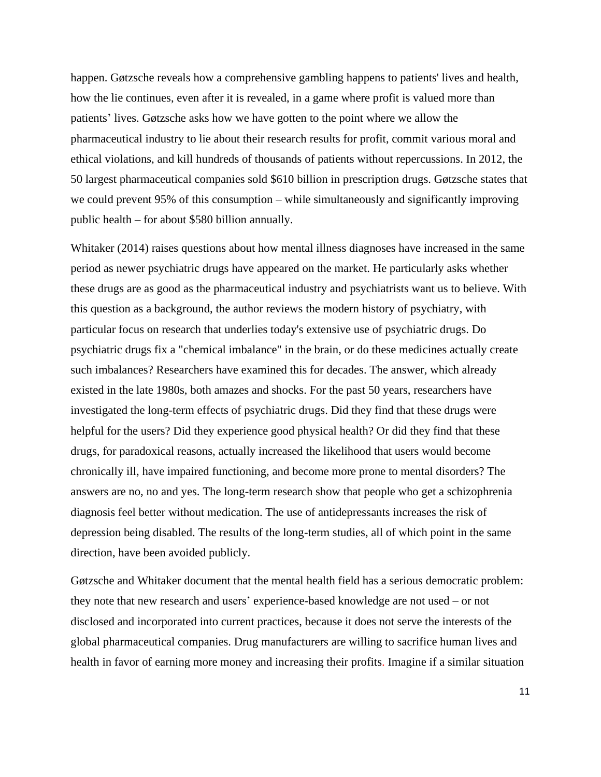happen. Gøtzsche reveals how a comprehensive gambling happens to patients' lives and health, how the lie continues, even after it is revealed, in a game where profit is valued more than patients' lives. Gøtzsche asks how we have gotten to the point where we allow the pharmaceutical industry to lie about their research results for profit, commit various moral and ethical violations, and kill hundreds of thousands of patients without repercussions. In 2012, the 50 largest pharmaceutical companies sold \$610 billion in prescription drugs. Gøtzsche states that we could prevent 95% of this consumption – while simultaneously and significantly improving public health – for about \$580 billion annually.

Whitaker (2014) raises questions about how mental illness diagnoses have increased in the same period as newer psychiatric drugs have appeared on the market. He particularly asks whether these drugs are as good as the pharmaceutical industry and psychiatrists want us to believe. With this question as a background, the author reviews the modern history of psychiatry, with particular focus on research that underlies today's extensive use of psychiatric drugs. Do psychiatric drugs fix a "chemical imbalance" in the brain, or do these medicines actually create such imbalances? Researchers have examined this for decades. The answer, which already existed in the late 1980s, both amazes and shocks. For the past 50 years, researchers have investigated the long-term effects of psychiatric drugs. Did they find that these drugs were helpful for the users? Did they experience good physical health? Or did they find that these drugs, for paradoxical reasons, actually increased the likelihood that users would become chronically ill, have impaired functioning, and become more prone to mental disorders? The answers are no, no and yes. The long-term research show that people who get a schizophrenia diagnosis feel better without medication. The use of antidepressants increases the risk of depression being disabled. The results of the long-term studies, all of which point in the same direction, have been avoided publicly.

Gøtzsche and Whitaker document that the mental health field has a serious democratic problem: they note that new research and users' experience-based knowledge are not used – or not disclosed and incorporated into current practices, because it does not serve the interests of the global pharmaceutical companies. Drug manufacturers are willing to sacrifice human lives and health in favor of earning more money and increasing their profits. Imagine if a similar situation

11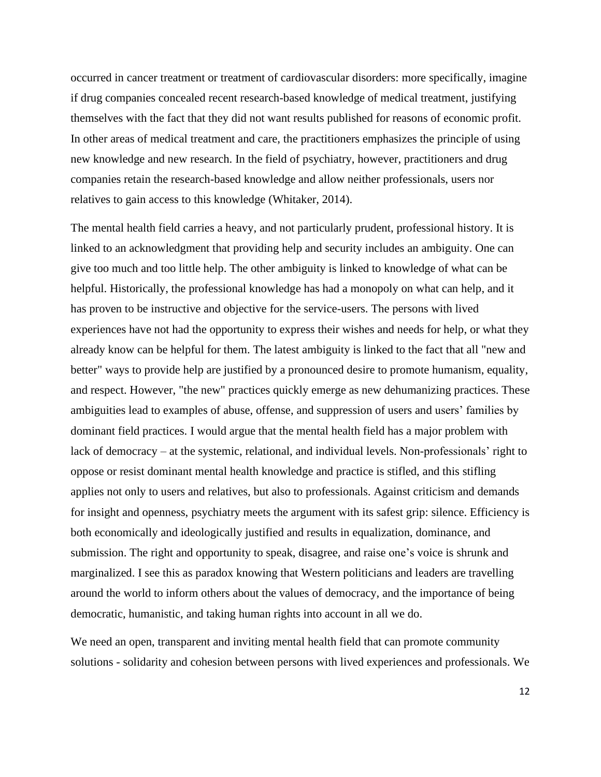occurred in cancer treatment or treatment of cardiovascular disorders: more specifically, imagine if drug companies concealed recent research-based knowledge of medical treatment, justifying themselves with the fact that they did not want results published for reasons of economic profit. In other areas of medical treatment and care, the practitioners emphasizes the principle of using new knowledge and new research. In the field of psychiatry, however, practitioners and drug companies retain the research-based knowledge and allow neither professionals, users nor relatives to gain access to this knowledge (Whitaker, 2014).

The mental health field carries a heavy, and not particularly prudent, professional history. It is linked to an acknowledgment that providing help and security includes an ambiguity. One can give too much and too little help. The other ambiguity is linked to knowledge of what can be helpful. Historically, the professional knowledge has had a monopoly on what can help, and it has proven to be instructive and objective for the service-users. The persons with lived experiences have not had the opportunity to express their wishes and needs for help, or what they already know can be helpful for them. The latest ambiguity is linked to the fact that all "new and better" ways to provide help are justified by a pronounced desire to promote humanism, equality, and respect. However, "the new" practices quickly emerge as new dehumanizing practices. These ambiguities lead to examples of abuse, offense, and suppression of users and users' families by dominant field practices. I would argue that the mental health field has a major problem with lack of democracy – at the systemic, relational, and individual levels. Non-professionals' right to oppose or resist dominant mental health knowledge and practice is stifled, and this stifling applies not only to users and relatives, but also to professionals. Against criticism and demands for insight and openness, psychiatry meets the argument with its safest grip: silence. Efficiency is both economically and ideologically justified and results in equalization, dominance, and submission. The right and opportunity to speak, disagree, and raise one's voice is shrunk and marginalized. I see this as paradox knowing that Western politicians and leaders are travelling around the world to inform others about the values of democracy, and the importance of being democratic, humanistic, and taking human rights into account in all we do.

We need an open, transparent and inviting mental health field that can promote community solutions - solidarity and cohesion between persons with lived experiences and professionals. We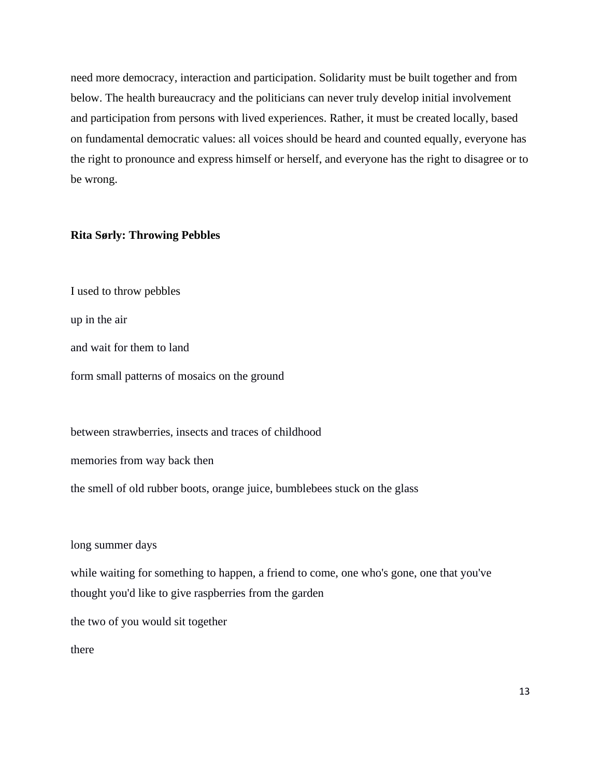need more democracy, interaction and participation. Solidarity must be built together and from below. The health bureaucracy and the politicians can never truly develop initial involvement and participation from persons with lived experiences. Rather, it must be created locally, based on fundamental democratic values: all voices should be heard and counted equally, everyone has the right to pronounce and express himself or herself, and everyone has the right to disagree or to be wrong.

## **Rita Sørly: Throwing Pebbles**

I used to throw pebbles

up in the air

and wait for them to land

form small patterns of mosaics on the ground

between strawberries, insects and traces of childhood

memories from way back then

the smell of old rubber boots, orange juice, bumblebees stuck on the glass

long summer days

while waiting for something to happen, a friend to come, one who's gone, one that you've thought you'd like to give raspberries from the garden

the two of you would sit together

there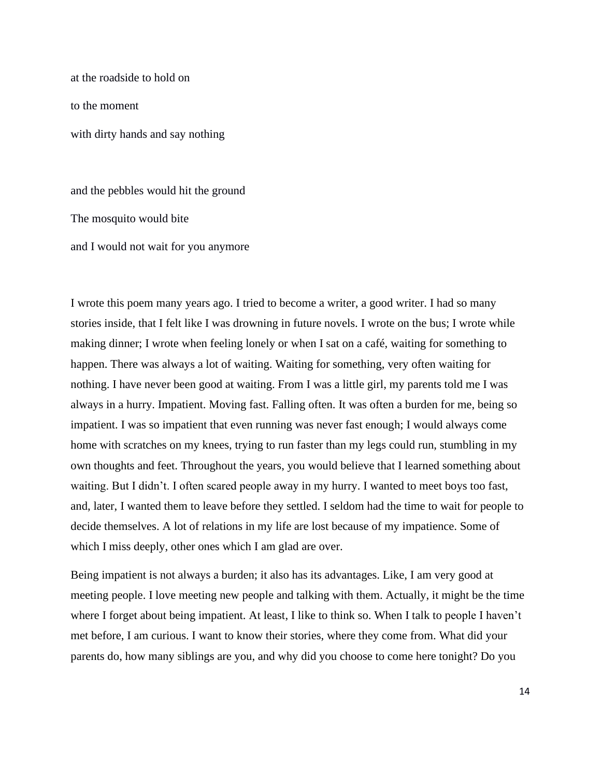at the roadside to hold on

to the moment

with dirty hands and say nothing

and the pebbles would hit the ground

The mosquito would bite

and I would not wait for you anymore

I wrote this poem many years ago. I tried to become a writer, a good writer. I had so many stories inside, that I felt like I was drowning in future novels. I wrote on the bus; I wrote while making dinner; I wrote when feeling lonely or when I sat on a café, waiting for something to happen. There was always a lot of waiting. Waiting for something, very often waiting for nothing. I have never been good at waiting. From I was a little girl, my parents told me I was always in a hurry. Impatient. Moving fast. Falling often. It was often a burden for me, being so impatient. I was so impatient that even running was never fast enough; I would always come home with scratches on my knees, trying to run faster than my legs could run, stumbling in my own thoughts and feet. Throughout the years, you would believe that I learned something about waiting. But I didn't. I often scared people away in my hurry. I wanted to meet boys too fast, and, later, I wanted them to leave before they settled. I seldom had the time to wait for people to decide themselves. A lot of relations in my life are lost because of my impatience. Some of which I miss deeply, other ones which I am glad are over.

Being impatient is not always a burden; it also has its advantages. Like, I am very good at meeting people. I love meeting new people and talking with them. Actually, it might be the time where I forget about being impatient. At least, I like to think so. When I talk to people I haven't met before, I am curious. I want to know their stories, where they come from. What did your parents do, how many siblings are you, and why did you choose to come here tonight? Do you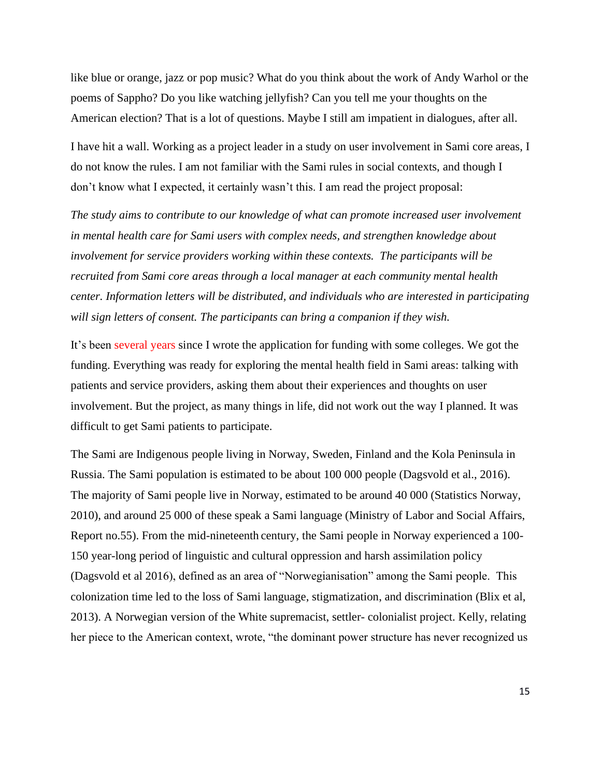like blue or orange, jazz or pop music? What do you think about the work of Andy Warhol or the poems of Sappho? Do you like watching jellyfish? Can you tell me your thoughts on the American election? That is a lot of questions. Maybe I still am impatient in dialogues, after all.

I have hit a wall. Working as a project leader in a study on user involvement in Sami core areas, I do not know the rules. I am not familiar with the Sami rules in social contexts, and though I don't know what I expected, it certainly wasn't this. I am read the project proposal:

*The study aims to contribute to our knowledge of what can promote increased user involvement in mental health care for Sami users with complex needs, and strengthen knowledge about involvement for service providers working within these contexts. The participants will be recruited from Sami core areas through a local manager at each community mental health center. Information letters will be distributed, and individuals who are interested in participating will sign letters of consent. The participants can bring a companion if they wish.*

It's been several years since I wrote the application for funding with some colleges. We got the funding. Everything was ready for exploring the mental health field in Sami areas: talking with patients and service providers, asking them about their experiences and thoughts on user involvement. But the project, as many things in life, did not work out the way I planned. It was difficult to get Sami patients to participate.

The Sami are Indigenous people living in Norway, Sweden, Finland and the Kola Peninsula in Russia. The Sami population is estimated to be about 100 000 people (Dagsvold et al., 2016). The majority of Sami people live in Norway, estimated to be around 40 000 (Statistics Norway, 2010), and around 25 000 of these speak a Sami language (Ministry of Labor and Social Affairs, Report no.55). From the mid-nineteenth century, the Sami people in Norway experienced a 100- 150 year-long period of linguistic and cultural oppression and harsh assimilation policy (Dagsvold et al 2016), defined as an area of "Norwegianisation" among the Sami people. This colonization time led to the loss of Sami language, stigmatization, and discrimination (Blix et al, 2013). A Norwegian version of the White supremacist, settler- colonialist project. Kelly, relating her piece to the American context, wrote, "the dominant power structure has never recognized us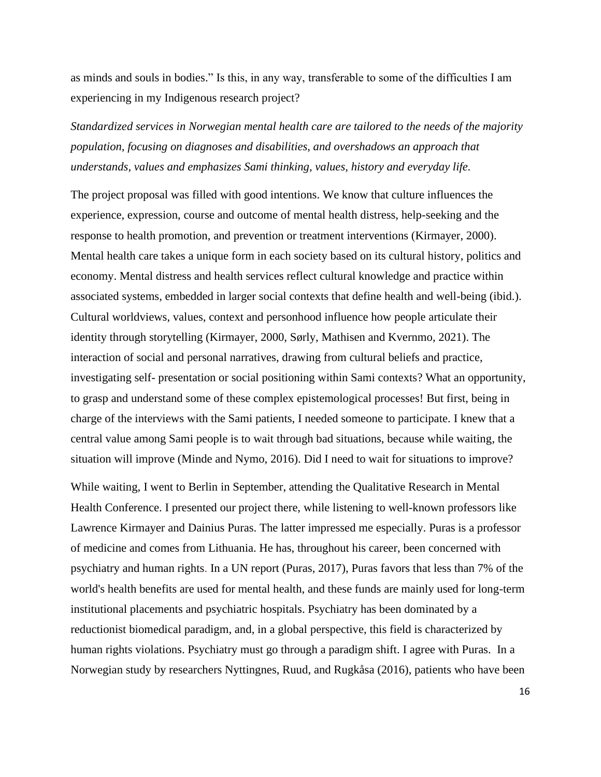as minds and souls in bodies." Is this, in any way, transferable to some of the difficulties I am experiencing in my Indigenous research project?

*Standardized services in Norwegian mental health care are tailored to the needs of the majority population, focusing on diagnoses and disabilities, and overshadows an approach that understands, values and emphasizes Sami thinking, values, history and everyday life.* 

The project proposal was filled with good intentions. We know that culture influences the experience, expression, course and outcome of mental health distress, help-seeking and the response to health promotion, and prevention or treatment interventions (Kirmayer, 2000). Mental health care takes a unique form in each society based on its cultural history, politics and economy. Mental distress and health services reflect cultural knowledge and practice within associated systems, embedded in larger social contexts that define health and well-being (ibid.). Cultural worldviews, values, context and personhood influence how people articulate their identity through storytelling (Kirmayer, 2000, Sørly, Mathisen and Kvernmo, 2021). The interaction of social and personal narratives, drawing from cultural beliefs and practice, investigating self- presentation or social positioning within Sami contexts? What an opportunity, to grasp and understand some of these complex epistemological processes! But first, being in charge of the interviews with the Sami patients, I needed someone to participate. I knew that a central value among Sami people is to wait through bad situations, because while waiting, the situation will improve (Minde and Nymo, 2016). Did I need to wait for situations to improve?

While waiting, I went to Berlin in September, attending the Qualitative Research in Mental Health Conference. I presented our project there, while listening to well-known professors like Lawrence Kirmayer and Dainius Puras. The latter impressed me especially. Puras is a professor of medicine and comes from Lithuania. He has, throughout his career, been concerned with psychiatry and human rights. In a UN report (Puras, 2017), Puras favors that less than 7% of the world's health benefits are used for mental health, and these funds are mainly used for long-term institutional placements and psychiatric hospitals. Psychiatry has been dominated by a reductionist biomedical paradigm, and, in a global perspective, this field is characterized by human rights violations. Psychiatry must go through a paradigm shift. I agree with Puras. In a Norwegian study by researchers Nyttingnes, Ruud, and Rugkåsa (2016), patients who have been

16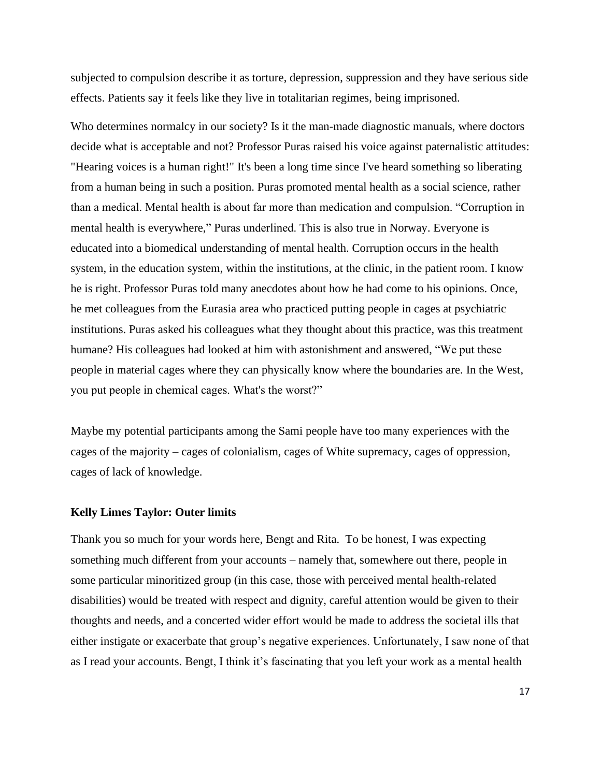subjected to compulsion describe it as torture, depression, suppression and they have serious side effects. Patients say it feels like they live in totalitarian regimes, being imprisoned.

Who determines normalcy in our society? Is it the man-made diagnostic manuals, where doctors decide what is acceptable and not? Professor Puras raised his voice against paternalistic attitudes: "Hearing voices is a human right!" It's been a long time since I've heard something so liberating from a human being in such a position. Puras promoted mental health as a social science, rather than a medical. Mental health is about far more than medication and compulsion. "Corruption in mental health is everywhere," Puras underlined. This is also true in Norway. Everyone is educated into a biomedical understanding of mental health. Corruption occurs in the health system, in the education system, within the institutions, at the clinic, in the patient room. I know he is right. Professor Puras told many anecdotes about how he had come to his opinions. Once, he met colleagues from the Eurasia area who practiced putting people in cages at psychiatric institutions. Puras asked his colleagues what they thought about this practice, was this treatment humane? His colleagues had looked at him with astonishment and answered, "We put these people in material cages where they can physically know where the boundaries are. In the West, you put people in chemical cages. What's the worst?"

Maybe my potential participants among the Sami people have too many experiences with the cages of the majority – cages of colonialism, cages of White supremacy, cages of oppression, cages of lack of knowledge.

#### **Kelly Limes Taylor: Outer limits**

Thank you so much for your words here, Bengt and Rita. To be honest, I was expecting something much different from your accounts – namely that, somewhere out there, people in some particular minoritized group (in this case, those with perceived mental health-related disabilities) would be treated with respect and dignity, careful attention would be given to their thoughts and needs, and a concerted wider effort would be made to address the societal ills that either instigate or exacerbate that group's negative experiences. Unfortunately, I saw none of that as I read your accounts. Bengt, I think it's fascinating that you left your work as a mental health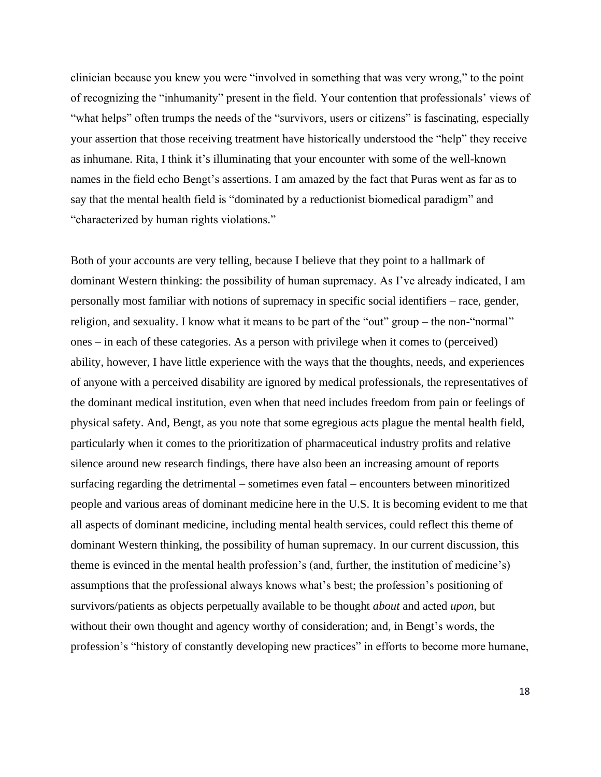clinician because you knew you were "involved in something that was very wrong," to the point of recognizing the "inhumanity" present in the field. Your contention that professionals' views of "what helps" often trumps the needs of the "survivors, users or citizens" is fascinating, especially your assertion that those receiving treatment have historically understood the "help" they receive as inhumane. Rita, I think it's illuminating that your encounter with some of the well-known names in the field echo Bengt's assertions. I am amazed by the fact that Puras went as far as to say that the mental health field is "dominated by a reductionist biomedical paradigm" and "characterized by human rights violations."

Both of your accounts are very telling, because I believe that they point to a hallmark of dominant Western thinking: the possibility of human supremacy. As I've already indicated, I am personally most familiar with notions of supremacy in specific social identifiers – race, gender, religion, and sexuality. I know what it means to be part of the "out" group – the non-"normal" ones – in each of these categories. As a person with privilege when it comes to (perceived) ability, however, I have little experience with the ways that the thoughts, needs, and experiences of anyone with a perceived disability are ignored by medical professionals, the representatives of the dominant medical institution, even when that need includes freedom from pain or feelings of physical safety. And, Bengt, as you note that some egregious acts plague the mental health field, particularly when it comes to the prioritization of pharmaceutical industry profits and relative silence around new research findings, there have also been an increasing amount of reports surfacing regarding the detrimental – sometimes even fatal – encounters between minoritized people and various areas of dominant medicine here in the U.S. It is becoming evident to me that all aspects of dominant medicine, including mental health services, could reflect this theme of dominant Western thinking, the possibility of human supremacy. In our current discussion, this theme is evinced in the mental health profession's (and, further, the institution of medicine's) assumptions that the professional always knows what's best; the profession's positioning of survivors/patients as objects perpetually available to be thought *about* and acted *upon*, but without their own thought and agency worthy of consideration; and, in Bengt's words, the profession's "history of constantly developing new practices" in efforts to become more humane,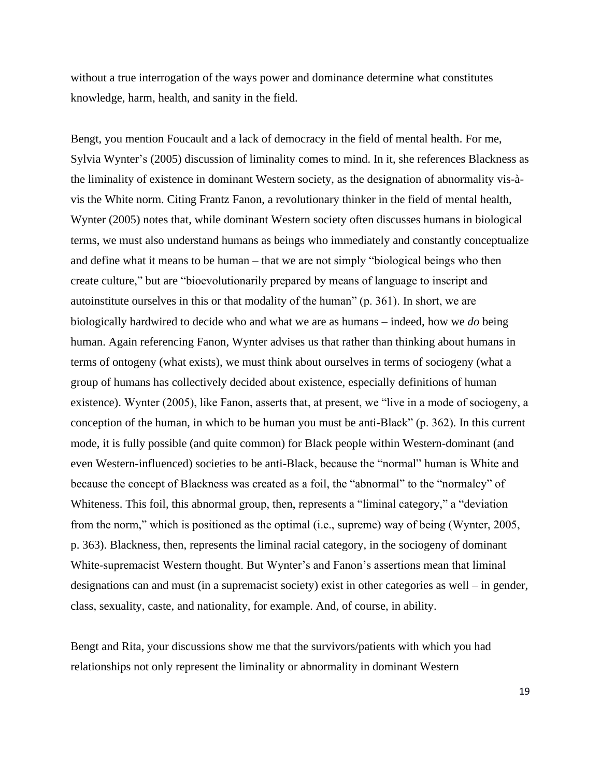without a true interrogation of the ways power and dominance determine what constitutes knowledge, harm, health, and sanity in the field.

Bengt, you mention Foucault and a lack of democracy in the field of mental health. For me, Sylvia Wynter's (2005) discussion of liminality comes to mind. In it, she references Blackness as the liminality of existence in dominant Western society, as the designation of abnormality vis-àvis the White norm. Citing Frantz Fanon, a revolutionary thinker in the field of mental health, Wynter (2005) notes that, while dominant Western society often discusses humans in biological terms, we must also understand humans as beings who immediately and constantly conceptualize and define what it means to be human – that we are not simply "biological beings who then create culture," but are "bioevolutionarily prepared by means of language to inscript and autoinstitute ourselves in this or that modality of the human" (p. 361). In short, we are biologically hardwired to decide who and what we are as humans – indeed, how we *do* being human. Again referencing Fanon, Wynter advises us that rather than thinking about humans in terms of ontogeny (what exists), we must think about ourselves in terms of sociogeny (what a group of humans has collectively decided about existence, especially definitions of human existence). Wynter (2005), like Fanon, asserts that, at present, we "live in a mode of sociogeny, a conception of the human, in which to be human you must be anti-Black" (p. 362). In this current mode, it is fully possible (and quite common) for Black people within Western-dominant (and even Western-influenced) societies to be anti-Black, because the "normal" human is White and because the concept of Blackness was created as a foil, the "abnormal" to the "normalcy" of Whiteness. This foil, this abnormal group, then, represents a "liminal category," a "deviation from the norm," which is positioned as the optimal (i.e., supreme) way of being (Wynter, 2005, p. 363). Blackness, then, represents the liminal racial category, in the sociogeny of dominant White-supremacist Western thought. But Wynter's and Fanon's assertions mean that liminal designations can and must (in a supremacist society) exist in other categories as well – in gender, class, sexuality, caste, and nationality, for example. And, of course, in ability.

Bengt and Rita, your discussions show me that the survivors/patients with which you had relationships not only represent the liminality or abnormality in dominant Western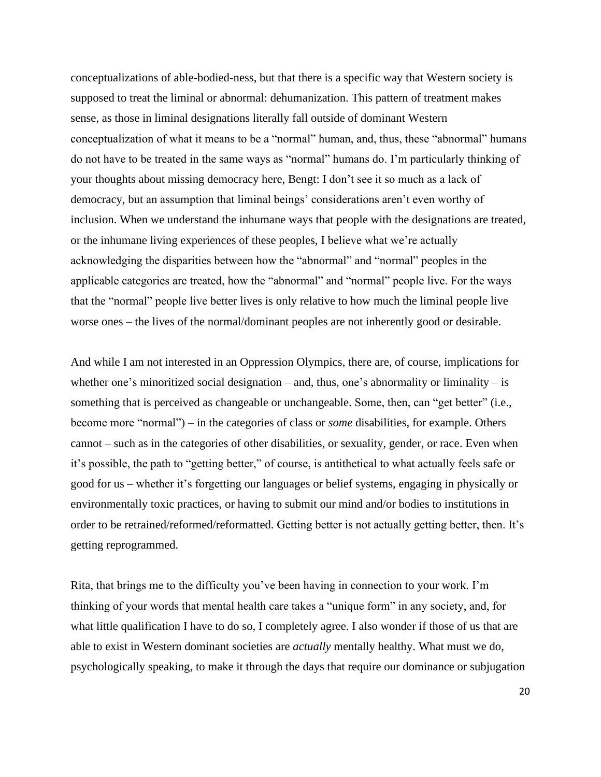conceptualizations of able-bodied-ness, but that there is a specific way that Western society is supposed to treat the liminal or abnormal: dehumanization. This pattern of treatment makes sense, as those in liminal designations literally fall outside of dominant Western conceptualization of what it means to be a "normal" human, and, thus, these "abnormal" humans do not have to be treated in the same ways as "normal" humans do. I'm particularly thinking of your thoughts about missing democracy here, Bengt: I don't see it so much as a lack of democracy, but an assumption that liminal beings' considerations aren't even worthy of inclusion. When we understand the inhumane ways that people with the designations are treated, or the inhumane living experiences of these peoples, I believe what we're actually acknowledging the disparities between how the "abnormal" and "normal" peoples in the applicable categories are treated, how the "abnormal" and "normal" people live. For the ways that the "normal" people live better lives is only relative to how much the liminal people live worse ones – the lives of the normal/dominant peoples are not inherently good or desirable.

And while I am not interested in an Oppression Olympics, there are, of course, implications for whether one's minoritized social designation – and, thus, one's abnormality or liminality – is something that is perceived as changeable or unchangeable. Some, then, can "get better" (i.e., become more "normal") – in the categories of class or *some* disabilities, for example. Others cannot – such as in the categories of other disabilities, or sexuality, gender, or race. Even when it's possible, the path to "getting better," of course, is antithetical to what actually feels safe or good for us – whether it's forgetting our languages or belief systems, engaging in physically or environmentally toxic practices, or having to submit our mind and/or bodies to institutions in order to be retrained/reformed/reformatted. Getting better is not actually getting better, then. It's getting reprogrammed.

Rita, that brings me to the difficulty you've been having in connection to your work. I'm thinking of your words that mental health care takes a "unique form" in any society, and, for what little qualification I have to do so, I completely agree. I also wonder if those of us that are able to exist in Western dominant societies are *actually* mentally healthy. What must we do, psychologically speaking, to make it through the days that require our dominance or subjugation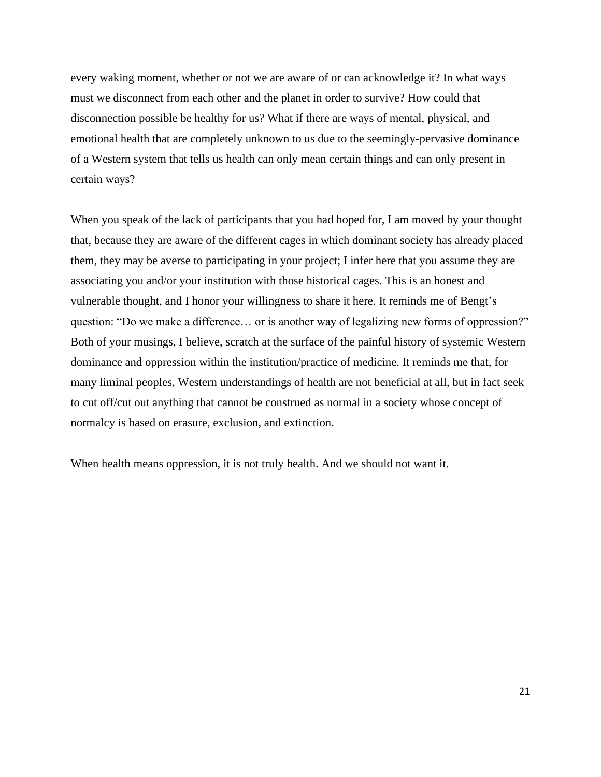every waking moment, whether or not we are aware of or can acknowledge it? In what ways must we disconnect from each other and the planet in order to survive? How could that disconnection possible be healthy for us? What if there are ways of mental, physical, and emotional health that are completely unknown to us due to the seemingly-pervasive dominance of a Western system that tells us health can only mean certain things and can only present in certain ways?

When you speak of the lack of participants that you had hoped for, I am moved by your thought that, because they are aware of the different cages in which dominant society has already placed them, they may be averse to participating in your project; I infer here that you assume they are associating you and/or your institution with those historical cages. This is an honest and vulnerable thought, and I honor your willingness to share it here. It reminds me of Bengt's question: "Do we make a difference… or is another way of legalizing new forms of oppression?" Both of your musings, I believe, scratch at the surface of the painful history of systemic Western dominance and oppression within the institution/practice of medicine. It reminds me that, for many liminal peoples, Western understandings of health are not beneficial at all, but in fact seek to cut off/cut out anything that cannot be construed as normal in a society whose concept of normalcy is based on erasure, exclusion, and extinction.

When health means oppression, it is not truly health. And we should not want it.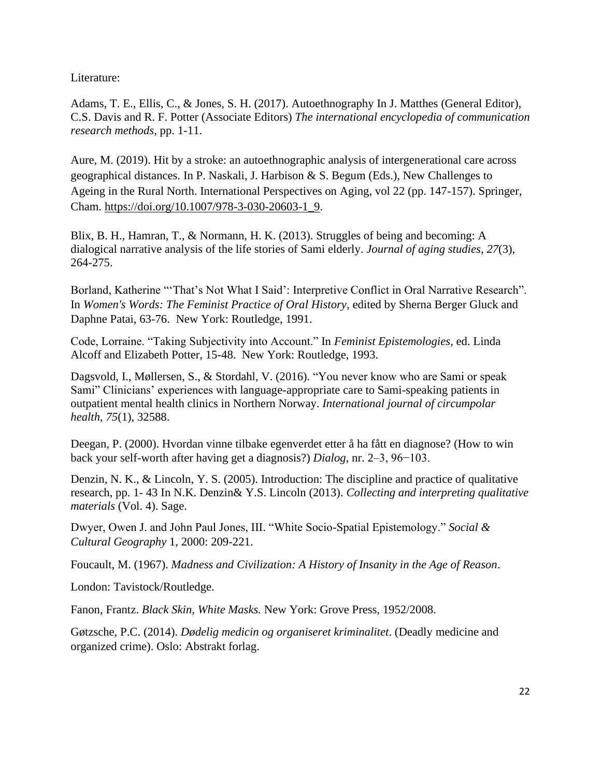Literature:

Adams, T. E., Ellis, C., & Jones, S. H. (2017). Autoethnography In J. Matthes (General Editor), C.S. Davis and R. F. Potter (Associate Editors) *The international encyclopedia of communication research methods*, pp. 1-11.

Aure, M. (2019). Hit by a stroke: an autoethnographic analysis of intergenerational care across geographical distances. In P. Naskali, J. Harbison & S. Begum (Eds.), New Challenges to Ageing in the Rural North. International Perspectives on Aging, vol 22 (pp. 147-157). Springer, Cham. [https://doi.org/10.1007/978-3-030-20603-1\\_9.](https://doi.org/10.1007/978-3-030-20603-1_9)

Blix, B. H., Hamran, T., & Normann, H. K. (2013). Struggles of being and becoming: A dialogical narrative analysis of the life stories of Sami elderly. *Journal of aging studies*, *27*(3), 264-275.

Borland, Katherine "'That's Not What I Said': Interpretive Conflict in Oral Narrative Research". In *Women's Words: The Feminist Practice of Oral History*, edited by Sherna Berger Gluck and Daphne Patai, 63-76. New York: Routledge, 1991.

Code, Lorraine. "Taking Subjectivity into Account." In *Feminist Epistemologies*, ed. Linda Alcoff and Elizabeth Potter, 15-48. New York: Routledge, 1993.

Dagsvold, I., Møllersen, S., & Stordahl, V. (2016). "You never know who are Sami or speak Sami" Clinicians' experiences with language-appropriate care to Sami-speaking patients in outpatient mental health clinics in Northern Norway. *International journal of circumpolar health*, *75*(1), 32588.

Deegan, P. (2000). Hvordan vinne tilbake egenverdet etter å ha fått en diagnose? (How to win back your self-worth after having get a diagnosis?) *Dialog*, nr. 2–3, 96−103.

Denzin, N. K., & Lincoln, Y. S. (2005). Introduction: The discipline and practice of qualitative research, pp. 1- 43 In N.K. Denzin& Y.S. Lincoln (2013). *Collecting and interpreting qualitative materials* (Vol. 4). Sage.

Dwyer, Owen J. and John Paul Jones, III. "White Socio-Spatial Epistemology." *Social & Cultural Geography* 1, 2000: 209-221.

Foucault, M. (1967). *Madness and Civilization: A History of Insanity in the Age of Reason*.

London: Tavistock/Routledge.

Fanon, Frantz. *Black Skin, White Masks.* New York: Grove Press, 1952/2008.

Gøtzsche, P.C. (2014). *Dødelig medicin og organiseret kriminalitet*. (Deadly medicine and organized crime). Oslo: Abstrakt forlag.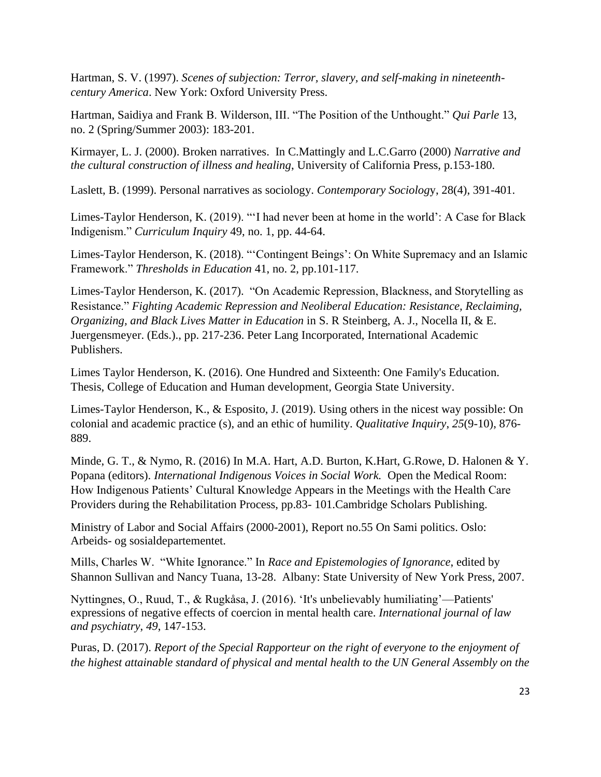Hartman, S. V. (1997). *Scenes of subjection: Terror, slavery, and self-making in nineteenthcentury America*. New York: Oxford University Press.

Hartman, Saidiya and Frank B. Wilderson, III. "The Position of the Unthought." *Qui Parle* 13, no. 2 (Spring/Summer 2003): 183-201.

Kirmayer, L. J. (2000). Broken narratives. In C.Mattingly and L.C.Garro (2000) *Narrative and the cultural construction of illness and healing*, University of California Press, p.153-180.

Laslett, B. (1999). Personal narratives as sociology. *Contemporary Sociolog*y, 28(4), 391-401.

Limes-Taylor Henderson, K. (2019). "'I had never been at home in the world': A Case for Black Indigenism." *Curriculum Inquiry* 49, no. 1, pp. 44-64.

Limes-Taylor Henderson, K. (2018). "'Contingent Beings': On White Supremacy and an Islamic Framework." *Thresholds in Education* 41, no. 2, pp.101-117.

Limes-Taylor Henderson, K. (2017). "On Academic Repression, Blackness, and Storytelling as Resistance." *Fighting Academic Repression and Neoliberal Education: Resistance, Reclaiming, Organizing, and Black Lives Matter in Education* in S. R Steinberg, A. J., Nocella II, & E. Juergensmeyer. (Eds.)., pp. 217-236. Peter Lang Incorporated, International Academic Publishers.

Limes Taylor Henderson, K. (2016). One Hundred and Sixteenth: One Family's Education. Thesis, College of Education and Human development, Georgia State University.

Limes-Taylor Henderson, K., & Esposito, J. (2019). Using others in the nicest way possible: On colonial and academic practice (s), and an ethic of humility. *Qualitative Inquiry*, *25*(9-10), 876- 889.

Minde, G. T., & Nymo, R. (2016) In M.A. Hart, A.D. Burton, K.Hart, G.Rowe, D. Halonen & Y. Popana (editors). *International Indigenous Voices in Social Work.* Open the Medical Room: How Indigenous Patients' Cultural Knowledge Appears in the Meetings with the Health Care Providers during the Rehabilitation Process, pp.83- 101.Cambridge Scholars Publishing.

Ministry of Labor and Social Affairs (2000-2001), Report no.55 On Sami politics. Oslo: Arbeids- og sosialdepartementet.

Mills, Charles W. "White Ignorance." In *Race and Epistemologies of Ignorance*, edited by Shannon Sullivan and Nancy Tuana, 13-28. Albany: State University of New York Press, 2007.

Nyttingnes, O., Ruud, T., & Rugkåsa, J. (2016). 'It's unbelievably humiliating'—Patients' expressions of negative effects of coercion in mental health care. *International journal of law and psychiatry*, *49*, 147-153.

Puras, D. (2017). *Report of the Special Rapporteur on the right of everyone to the enjoyment of the highest attainable standard of physical and mental health to the UN General Assembly on the*